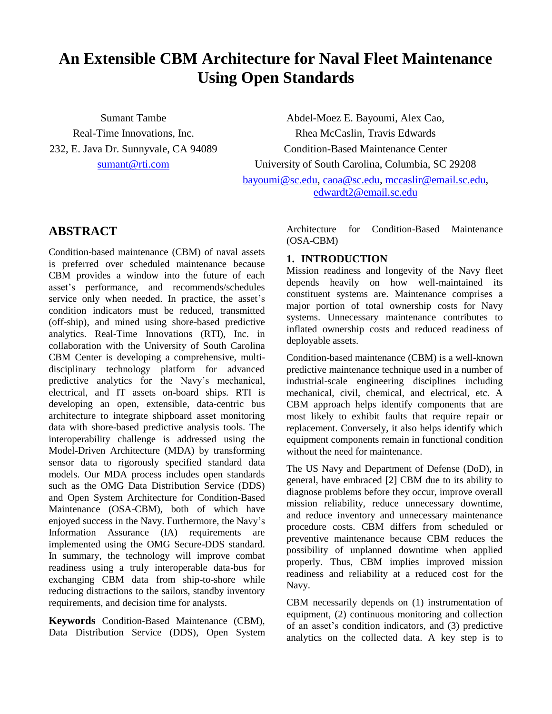# **An Extensible CBM Architecture for Naval Fleet Maintenance Using Open Standards**

Sumant Tambe Real-Time Innovations, Inc. 232, E. Java Dr. Sunnyvale, CA 94089 [sumant@rti.com](mailto:sumant@rti.com)

Abdel-Moez E. Bayoumi, Alex Cao, Rhea McCaslin, Travis Edwards Condition-Based Maintenance Center University of South Carolina, Columbia, SC 29208 [bayoumi@sc.edu,](mailto:bayoumi@sc.edu) [caoa@sc.edu,](mailto:caoa@sc.edu) [mccaslir@email.sc.edu,](mailto:mccaslir@email.sc.edu) [edwardt2@email.sc.edu](mailto:edwardt2@email.sc.edu)

# **ABSTRACT**

Condition-based maintenance (CBM) of naval assets is preferred over scheduled maintenance because CBM provides a window into the future of each asset's performance, and recommends/schedules service only when needed. In practice, the asset's condition indicators must be reduced, transmitted (off-ship), and mined using shore-based predictive analytics. Real-Time Innovations (RTI), Inc. in collaboration with the University of South Carolina CBM Center is developing a comprehensive, multidisciplinary technology platform for advanced predictive analytics for the Navy's mechanical, electrical, and IT assets on-board ships. RTI is developing an open, extensible, data-centric bus architecture to integrate shipboard asset monitoring data with shore-based predictive analysis tools. The interoperability challenge is addressed using the Model-Driven Architecture (MDA) by transforming sensor data to rigorously specified standard data models. Our MDA process includes open standards such as the OMG Data Distribution Service (DDS) and Open System Architecture for Condition-Based Maintenance (OSA-CBM), both of which have enjoyed success in the Navy. Furthermore, the Navy's Information Assurance (IA) requirements are implemented using the OMG Secure-DDS standard. In summary, the technology will improve combat readiness using a truly interoperable data-bus for exchanging CBM data from ship-to-shore while reducing distractions to the sailors, standby inventory requirements, and decision time for analysts.

**Keywords** Condition-Based Maintenance (CBM), Data Distribution Service (DDS), Open System

Architecture for Condition-Based Maintenance (OSA-CBM)

## **1. INTRODUCTION**

Mission readiness and longevity of the Navy fleet depends heavily on how well-maintained its constituent systems are. Maintenance comprises a major portion of total ownership costs for Navy systems. Unnecessary maintenance contributes to inflated ownership costs and reduced readiness of deployable assets.

Condition-based maintenance (CBM) is a well-known predictive maintenance technique used in a number of industrial-scale engineering disciplines including mechanical, civil, chemical, and electrical, etc. A CBM approach helps identify components that are most likely to exhibit faults that require repair or replacement. Conversely, it also helps identify which equipment components remain in functional condition without the need for maintenance.

The US Navy and Department of Defense (DoD), in general, have embraced [\[2\]](#page-10-0) CBM due to its ability to diagnose problems before they occur, improve overall mission reliability, reduce unnecessary downtime, and reduce inventory and unnecessary maintenance procedure costs. CBM differs from scheduled or preventive maintenance because CBM reduces the possibility of unplanned downtime when applied properly. Thus, CBM implies improved mission readiness and reliability at a reduced cost for the Navy.

CBM necessarily depends on (1) instrumentation of equipment, (2) continuous monitoring and collection of an asset's condition indicators, and (3) predictive analytics on the collected data. A key step is to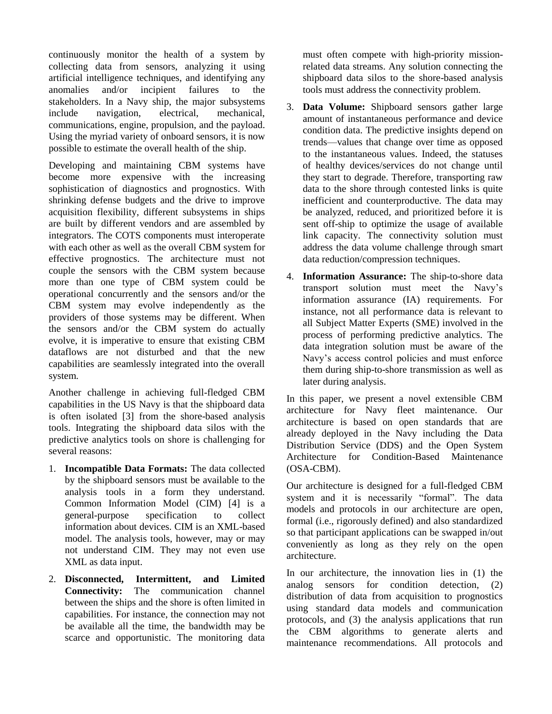continuously monitor the health of a system by collecting data from sensors, analyzing it using artificial intelligence techniques, and identifying any anomalies and/or incipient failures to the stakeholders. In a Navy ship, the major subsystems include navigation, electrical, mechanical, communications, engine, propulsion, and the payload. Using the myriad variety of onboard sensors, it is now possible to estimate the overall health of the ship.

Developing and maintaining CBM systems have become more expensive with the increasing sophistication of diagnostics and prognostics. With shrinking defense budgets and the drive to improve acquisition flexibility, different subsystems in ships are built by different vendors and are assembled by integrators. The COTS components must interoperate with each other as well as the overall CBM system for effective prognostics. The architecture must not couple the sensors with the CBM system because more than one type of CBM system could be operational concurrently and the sensors and/or the CBM system may evolve independently as the providers of those systems may be different. When the sensors and/or the CBM system do actually evolve, it is imperative to ensure that existing CBM dataflows are not disturbed and that the new capabilities are seamlessly integrated into the overall system.

Another challenge in achieving full-fledged CBM capabilities in the US Navy is that the shipboard data is often isolated [\[3\]](#page-10-1) from the shore-based analysis tools. Integrating the shipboard data silos with the predictive analytics tools on shore is challenging for several reasons:

- 1. **Incompatible Data Formats:** The data collected by the shipboard sensors must be available to the analysis tools in a form they understand. Common Information Model (CIM) [\[4\]](#page-10-2) is a general-purpose specification to collect information about devices. CIM is an XML-based model. The analysis tools, however, may or may not understand CIM. They may not even use XML as data input.
- 2. **Disconnected, Intermittent, and Limited Connectivity:** The communication channel between the ships and the shore is often limited in capabilities. For instance, the connection may not be available all the time, the bandwidth may be scarce and opportunistic. The monitoring data

must often compete with high-priority missionrelated data streams. Any solution connecting the shipboard data silos to the shore-based analysis tools must address the connectivity problem.

- 3. **Data Volume:** Shipboard sensors gather large amount of instantaneous performance and device condition data. The predictive insights depend on trends—values that change over time as opposed to the instantaneous values. Indeed, the statuses of healthy devices/services do not change until they start to degrade. Therefore, transporting raw data to the shore through contested links is quite inefficient and counterproductive. The data may be analyzed, reduced, and prioritized before it is sent off-ship to optimize the usage of available link capacity. The connectivity solution must address the data volume challenge through smart data reduction/compression techniques.
- 4. **Information Assurance:** The ship-to-shore data transport solution must meet the Navy's information assurance (IA) requirements. For instance, not all performance data is relevant to all Subject Matter Experts (SME) involved in the process of performing predictive analytics. The data integration solution must be aware of the Navy's access control policies and must enforce them during ship-to-shore transmission as well as later during analysis.

In this paper, we present a novel extensible CBM architecture for Navy fleet maintenance. Our architecture is based on open standards that are already deployed in the Navy including the Data Distribution Service (DDS) and the Open System Architecture for Condition-Based Maintenance (OSA-CBM).

Our architecture is designed for a full-fledged CBM system and it is necessarily "formal". The data models and protocols in our architecture are open, formal (i.e., rigorously defined) and also standardized so that participant applications can be swapped in/out conveniently as long as they rely on the open architecture.

In our architecture, the innovation lies in (1) the analog sensors for condition detection, (2) distribution of data from acquisition to prognostics using standard data models and communication protocols, and (3) the analysis applications that run the CBM algorithms to generate alerts and maintenance recommendations. All protocols and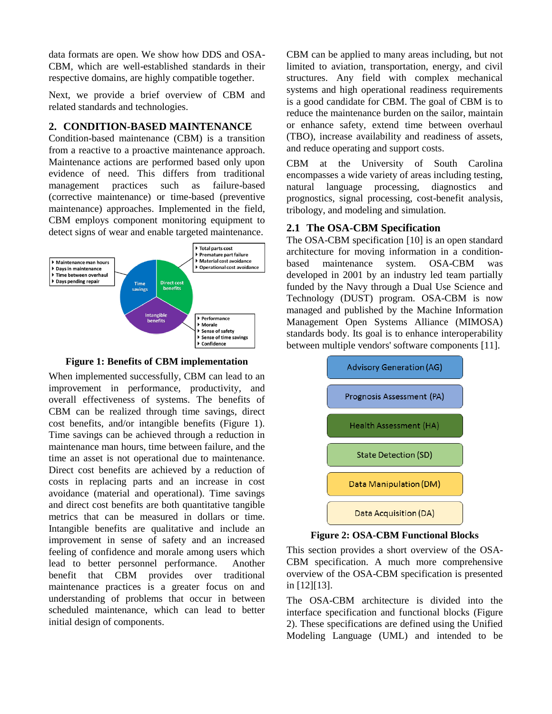data formats are open. We show how DDS and OSA-CBM, which are well-established standards in their respective domains, are highly compatible together.

Next, we provide a brief overview of CBM and related standards and technologies.

#### **2. CONDITION-BASED MAINTENANCE**

Condition-based maintenance (CBM) is a transition from a reactive to a proactive maintenance approach. Maintenance actions are performed based only upon evidence of need. This differs from traditional management practices such as failure-based (corrective maintenance) or time-based (preventive maintenance) approaches. Implemented in the field, CBM employs component monitoring equipment to detect signs of wear and enable targeted maintenance.



**Figure 1: Benefits of CBM implementation**

When implemented successfully, CBM can lead to an improvement in performance, productivity, and overall effectiveness of systems. The benefits of CBM can be realized through time savings, direct cost benefits, and/or intangible benefits (Figure 1). Time savings can be achieved through a reduction in maintenance man hours, time between failure, and the time an asset is not operational due to maintenance. Direct cost benefits are achieved by a reduction of costs in replacing parts and an increase in cost avoidance (material and operational). Time savings and direct cost benefits are both quantitative tangible metrics that can be measured in dollars or time. Intangible benefits are qualitative and include an improvement in sense of safety and an increased feeling of confidence and morale among users which lead to better personnel performance. Another benefit that CBM provides over traditional maintenance practices is a greater focus on and understanding of problems that occur in between scheduled maintenance, which can lead to better initial design of components.

CBM can be applied to many areas including, but not limited to aviation, transportation, energy, and civil structures. Any field with complex mechanical systems and high operational readiness requirements is a good candidate for CBM. The goal of CBM is to reduce the maintenance burden on the sailor, maintain or enhance safety, extend time between overhaul (TBO), increase availability and readiness of assets, and reduce operating and support costs.

CBM at the University of South Carolina encompasses a wide variety of areas including testing, natural language processing, diagnostics and prognostics, signal processing, cost-benefit analysis, tribology, and modeling and simulation.

#### **2.1 The OSA-CBM Specification**

The OSA-CBM specification [\[10\]](#page-11-0) is an open standard architecture for moving information in a conditionbased maintenance system. OSA-CBM was developed in 2001 by an industry led team partially funded by the Navy through a Dual Use Science and Technology (DUST) program. OSA-CBM is now managed and published by the Machine Information Management Open Systems Alliance (MIMOSA) standards body. Its goal is to enhance interoperability between multiple vendors' software components [\[11\].](#page-11-1)



**Figure 2: OSA-CBM Functional Blocks**

This section provides a short overview of the OSA-CBM specification. A much more comprehensive overview of the OSA-CBM specification is presented in [\[12\]\[13\].](#page-11-2)

The OSA-CBM architecture is divided into the interface specification and functional blocks (Figure 2). These specifications are defined using the Unified Modeling Language (UML) and intended to be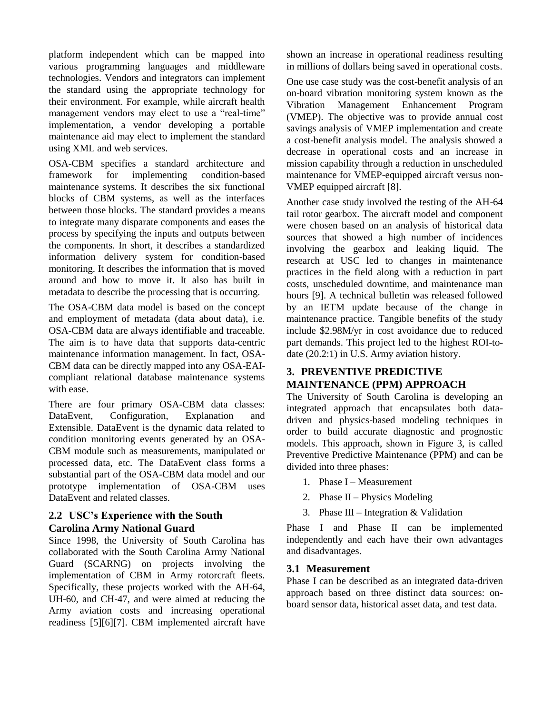platform independent which can be mapped into various programming languages and middleware technologies. Vendors and integrators can implement the standard using the appropriate technology for their environment. For example, while aircraft health management vendors may elect to use a "real-time" implementation, a vendor developing a portable maintenance aid may elect to implement the standard using XML and web services.

OSA-CBM specifies a standard architecture and framework for implementing condition-based maintenance systems. It describes the six functional blocks of CBM systems, as well as the interfaces between those blocks. The standard provides a means to integrate many disparate components and eases the process by specifying the inputs and outputs between the components. In short, it describes a standardized information delivery system for condition-based monitoring. It describes the information that is moved around and how to move it. It also has built in metadata to describe the processing that is occurring.

The OSA-CBM data model is based on the concept and employment of metadata (data about data), i.e. OSA-CBM data are always identifiable and traceable. The aim is to have data that supports data-centric maintenance information management. In fact, OSA-CBM data can be directly mapped into any OSA-EAIcompliant relational database maintenance systems with ease.

There are four primary OSA-CBM data classes: DataEvent, Configuration, Explanation and Extensible. DataEvent is the dynamic data related to condition monitoring events generated by an OSA-CBM module such as measurements, manipulated or processed data, etc. The DataEvent class forms a substantial part of the OSA-CBM data model and our prototype implementation of OSA-CBM uses DataEvent and related classes.

#### **2.2 USC's Experience with the South Carolina Army National Guard**

Since 1998, the University of South Carolina has collaborated with the South Carolina Army National Guard (SCARNG) on projects involving the implementation of CBM in Army rotorcraft fleets. Specifically, these projects worked with the AH-64, UH-60, and CH-47, and were aimed at reducing the Army aviation costs and increasing operational readiness [\[5\]\[6\]](#page-10-3)[\[7\].](#page-10-4) CBM implemented aircraft have shown an increase in operational readiness resulting in millions of dollars being saved in operational costs.

One use case study was the cost-benefit analysis of an on-board vibration monitoring system known as the Vibration Management Enhancement Program (VMEP). The objective was to provide annual cost savings analysis of VMEP implementation and create a cost-benefit analysis model. The analysis showed a decrease in operational costs and an increase in mission capability through a reduction in unscheduled maintenance for VMEP-equipped aircraft versus non-VMEP equipped aircraft [\[8\].](#page-10-5)

Another case study involved the testing of the AH-64 tail rotor gearbox. The aircraft model and component were chosen based on an analysis of historical data sources that showed a high number of incidences involving the gearbox and leaking liquid. The research at USC led to changes in maintenance practices in the field along with a reduction in part costs, unscheduled downtime, and maintenance man hours [\[9\].](#page-11-3) A technical bulletin was released followed by an IETM update because of the change in maintenance practice. Tangible benefits of the study include \$2.98M/yr in cost avoidance due to reduced part demands. This project led to the highest ROI-todate (20.2:1) in U.S. Army aviation history.

## **3. PREVENTIVE PREDICTIVE MAINTENANCE (PPM) APPROACH**

The University of South Carolina is developing an integrated approach that encapsulates both datadriven and physics-based modeling techniques in order to build accurate diagnostic and prognostic models. This approach, shown in Figure 3, is called Preventive Predictive Maintenance (PPM) and can be divided into three phases:

- 1. Phase I Measurement
- 2. Phase II Physics Modeling
- 3. Phase III Integration & Validation

Phase I and Phase II can be implemented independently and each have their own advantages and disadvantages.

#### **3.1 Measurement**

Phase I can be described as an integrated data-driven approach based on three distinct data sources: onboard sensor data, historical asset data, and test data.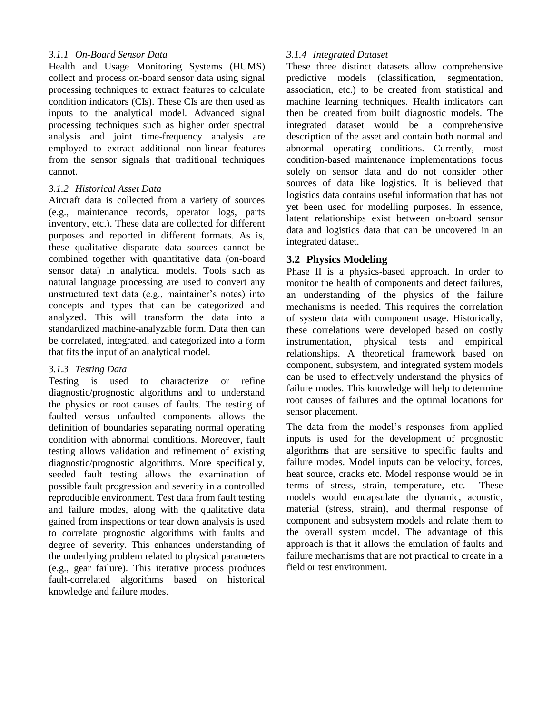#### *3.1.1 On-Board Sensor Data*

Health and Usage Monitoring Systems (HUMS) collect and process on-board sensor data using signal processing techniques to extract features to calculate condition indicators (CIs). These CIs are then used as inputs to the analytical model. Advanced signal processing techniques such as higher order spectral analysis and joint time-frequency analysis are employed to extract additional non-linear features from the sensor signals that traditional techniques cannot.

#### *3.1.2 Historical Asset Data*

Aircraft data is collected from a variety of sources (e.g., maintenance records, operator logs, parts inventory, etc.). These data are collected for different purposes and reported in different formats. As is, these qualitative disparate data sources cannot be combined together with quantitative data (on-board sensor data) in analytical models. Tools such as natural language processing are used to convert any unstructured text data (e.g., maintainer's notes) into concepts and types that can be categorized and analyzed. This will transform the data into a standardized machine-analyzable form. Data then can be correlated, integrated, and categorized into a form that fits the input of an analytical model.

#### *3.1.3 Testing Data*

Testing is used to characterize or refine diagnostic/prognostic algorithms and to understand the physics or root causes of faults. The testing of faulted versus unfaulted components allows the definition of boundaries separating normal operating condition with abnormal conditions. Moreover, fault testing allows validation and refinement of existing diagnostic/prognostic algorithms. More specifically, seeded fault testing allows the examination of possible fault progression and severity in a controlled reproducible environment. Test data from fault testing and failure modes, along with the qualitative data gained from inspections or tear down analysis is used to correlate prognostic algorithms with faults and degree of severity. This enhances understanding of the underlying problem related to physical parameters (e.g., gear failure). This iterative process produces fault-correlated algorithms based on historical knowledge and failure modes.

## *3.1.4 Integrated Dataset*

These three distinct datasets allow comprehensive predictive models (classification, segmentation, association, etc.) to be created from statistical and machine learning techniques. Health indicators can then be created from built diagnostic models. The integrated dataset would be a comprehensive description of the asset and contain both normal and abnormal operating conditions. Currently, most condition-based maintenance implementations focus solely on sensor data and do not consider other sources of data like logistics. It is believed that logistics data contains useful information that has not yet been used for modelling purposes. In essence, latent relationships exist between on-board sensor data and logistics data that can be uncovered in an integrated dataset.

## **3.2 Physics Modeling**

Phase II is a physics-based approach. In order to monitor the health of components and detect failures, an understanding of the physics of the failure mechanisms is needed. This requires the correlation of system data with component usage. Historically, these correlations were developed based on costly instrumentation, physical tests and empirical relationships. A theoretical framework based on component, subsystem, and integrated system models can be used to effectively understand the physics of failure modes. This knowledge will help to determine root causes of failures and the optimal locations for sensor placement.

The data from the model's responses from applied inputs is used for the development of prognostic algorithms that are sensitive to specific faults and failure modes. Model inputs can be velocity, forces, heat source, cracks etc. Model response would be in terms of stress, strain, temperature, etc. These models would encapsulate the dynamic, acoustic, material (stress, strain), and thermal response of component and subsystem models and relate them to the overall system model. The advantage of this approach is that it allows the emulation of faults and failure mechanisms that are not practical to create in a field or test environment.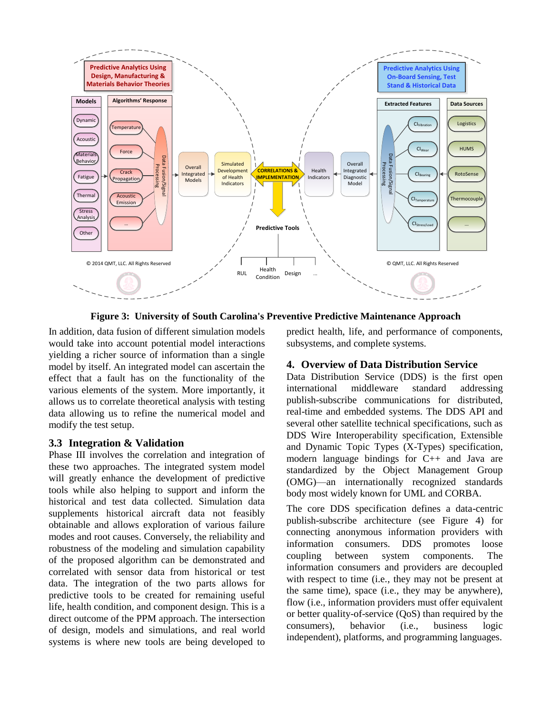

**Figure 3: University of South Carolina's Preventive Predictive Maintenance Approach**

In addition, data fusion of different simulation models would take into account potential model interactions yielding a richer source of information than a single model by itself. An integrated model can ascertain the effect that a fault has on the functionality of the various elements of the system. More importantly, it allows us to correlate theoretical analysis with testing data allowing us to refine the numerical model and modify the test setup.

#### **3.3 Integration & Validation**

Phase III involves the correlation and integration of these two approaches. The integrated system model will greatly enhance the development of predictive tools while also helping to support and inform the historical and test data collected. Simulation data supplements historical aircraft data not feasibly obtainable and allows exploration of various failure modes and root causes. Conversely, the reliability and robustness of the modeling and simulation capability of the proposed algorithm can be demonstrated and correlated with sensor data from historical or test data. The integration of the two parts allows for predictive tools to be created for remaining useful life, health condition, and component design. This is a direct outcome of the PPM approach. The intersection of design, models and simulations, and real world systems is where new tools are being developed to

predict health, life, and performance of components, subsystems, and complete systems.

#### **4. Overview of Data Distribution Service**

Data Distribution Service (DDS) is the first open international middleware standard addressing publish-subscribe communications for distributed, real-time and embedded systems. The DDS API and several other satellite technical specifications, such as DDS Wire Interoperability specification, Extensible and Dynamic Topic Types (X-Types) specification, modern language bindings for C++ and Java are standardized by the Object Management Group (OMG)—an internationally recognized standards body most widely known for UML and CORBA.

The core DDS specification defines a data-centric publish-subscribe architecture (see Figure 4) for connecting anonymous information providers with information consumers. DDS promotes loose coupling between system components. The information consumers and providers are decoupled with respect to time (i.e., they may not be present at the same time), space (i.e., they may be anywhere), flow (i.e., information providers must offer equivalent or better quality-of-service (QoS) than required by the consumers), behavior (i.e., business logic independent), platforms, and programming languages.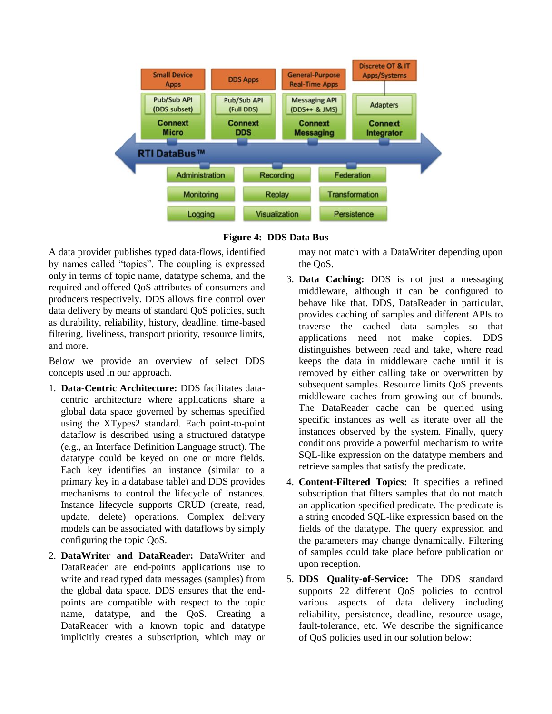



A data provider publishes typed data-flows, identified by names called "topics". The coupling is expressed only in terms of topic name, datatype schema, and the required and offered QoS attributes of consumers and producers respectively. DDS allows fine control over data delivery by means of standard QoS policies, such as durability, reliability, history, deadline, time-based filtering, liveliness, transport priority, resource limits, and more.

Below we provide an overview of select DDS concepts used in our approach.

- 1. **Data-Centric Architecture:** DDS facilitates datacentric architecture where applications share a global data space governed by schemas specified using the XTypes2 standard. Each point-to-point dataflow is described using a structured datatype (e.g., an Interface Definition Language struct). The datatype could be keyed on one or more fields. Each key identifies an instance (similar to a primary key in a database table) and DDS provides mechanisms to control the lifecycle of instances. Instance lifecycle supports CRUD (create, read, update, delete) operations. Complex delivery models can be associated with dataflows by simply configuring the topic QoS.
- 2. **DataWriter and DataReader:** DataWriter and DataReader are end-points applications use to write and read typed data messages (samples) from the global data space. DDS ensures that the endpoints are compatible with respect to the topic name, datatype, and the QoS. Creating a DataReader with a known topic and datatype implicitly creates a subscription, which may or

may not match with a DataWriter depending upon the QoS.

- 3. **Data Caching:** DDS is not just a messaging middleware, although it can be configured to behave like that. DDS, DataReader in particular, provides caching of samples and different APIs to traverse the cached data samples so that applications need not make copies. DDS distinguishes between read and take, where read keeps the data in middleware cache until it is removed by either calling take or overwritten by subsequent samples. Resource limits QoS prevents middleware caches from growing out of bounds. The DataReader cache can be queried using specific instances as well as iterate over all the instances observed by the system. Finally, query conditions provide a powerful mechanism to write SQL-like expression on the datatype members and retrieve samples that satisfy the predicate.
- 4. **Content-Filtered Topics:** It specifies a refined subscription that filters samples that do not match an application-specified predicate. The predicate is a string encoded SQL-like expression based on the fields of the datatype. The query expression and the parameters may change dynamically. Filtering of samples could take place before publication or upon reception.
- 5. **DDS Quality-of-Service:** The DDS standard supports 22 different QoS policies to control various aspects of data delivery including reliability, persistence, deadline, resource usage, fault-tolerance, etc. We describe the significance of QoS policies used in our solution below: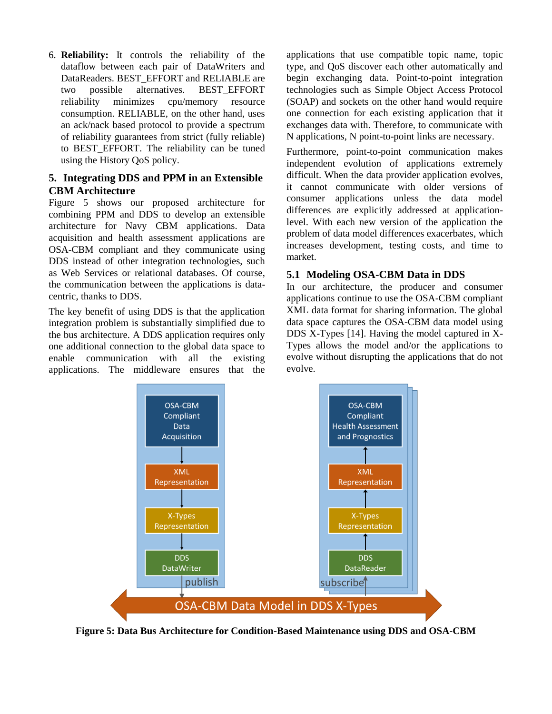6. **Reliability:** It controls the reliability of the dataflow between each pair of DataWriters and DataReaders. BEST\_EFFORT and RELIABLE are two possible alternatives. BEST\_EFFORT reliability minimizes cpu/memory resource consumption. RELIABLE, on the other hand, uses an ack/nack based protocol to provide a spectrum of reliability guarantees from strict (fully reliable) to BEST\_EFFORT. The reliability can be tuned using the History QoS policy.

#### **5. Integrating DDS and PPM in an Extensible CBM Architecture**

Figure 5 shows our proposed architecture for combining PPM and DDS to develop an extensible architecture for Navy CBM applications. Data acquisition and health assessment applications are OSA-CBM compliant and they communicate using DDS instead of other integration technologies, such as Web Services or relational databases. Of course, the communication between the applications is datacentric, thanks to DDS.

The key benefit of using DDS is that the application integration problem is substantially simplified due to the bus architecture. A DDS application requires only one additional connection to the global data space to enable communication with all the existing applications. The middleware ensures that the applications that use compatible topic name, topic type, and QoS discover each other automatically and begin exchanging data. Point-to-point integration technologies such as Simple Object Access Protocol (SOAP) and sockets on the other hand would require one connection for each existing application that it exchanges data with. Therefore, to communicate with N applications, N point-to-point links are necessary.

Furthermore, point-to-point communication makes independent evolution of applications extremely difficult. When the data provider application evolves, it cannot communicate with older versions of consumer applications unless the data model differences are explicitly addressed at applicationlevel. With each new version of the application the problem of data model differences exacerbates, which increases development, testing costs, and time to market.

## **5.1 Modeling OSA-CBM Data in DDS**

In our architecture, the producer and consumer applications continue to use the OSA-CBM compliant XML data format for sharing information. The global data space captures the OSA-CBM data model using DDS X-Types [\[14\].](#page-11-4) Having the model captured in X-Types allows the model and/or the applications to evolve without disrupting the applications that do not evolve.



**Figure 5: Data Bus Architecture for Condition-Based Maintenance using DDS and OSA-CBM**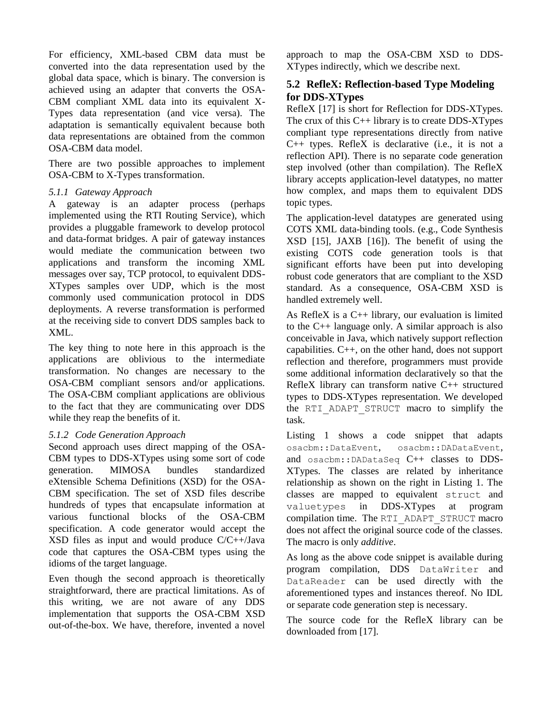For efficiency, XML-based CBM data must be converted into the data representation used by the global data space, which is binary. The conversion is achieved using an adapter that converts the OSA-CBM compliant XML data into its equivalent X-Types data representation (and vice versa). The adaptation is semantically equivalent because both data representations are obtained from the common OSA-CBM data model.

There are two possible approaches to implement OSA-CBM to X-Types transformation.

#### *5.1.1 Gateway Approach*

A gateway is an adapter process (perhaps implemented using the RTI Routing Service), which provides a pluggable framework to develop protocol and data-format bridges. A pair of gateway instances would mediate the communication between two applications and transform the incoming XML messages over say, TCP protocol, to equivalent DDS-XTypes samples over UDP, which is the most commonly used communication protocol in DDS deployments. A reverse transformation is performed at the receiving side to convert DDS samples back to XML.

The key thing to note here in this approach is the applications are oblivious to the intermediate transformation. No changes are necessary to the OSA-CBM compliant sensors and/or applications. The OSA-CBM compliant applications are oblivious to the fact that they are communicating over DDS while they reap the benefits of it.

#### *5.1.2 Code Generation Approach*

Second approach uses direct mapping of the OSA-CBM types to DDS-XTypes using some sort of code generation. MIMOSA bundles standardized eXtensible Schema Definitions (XSD) for the OSA-CBM specification. The set of XSD files describe hundreds of types that encapsulate information at various functional blocks of the OSA-CBM specification. A code generator would accept the XSD files as input and would produce C/C++/Java code that captures the OSA-CBM types using the idioms of the target language.

Even though the second approach is theoretically straightforward, there are practical limitations. As of this writing, we are not aware of any DDS implementation that supports the OSA-CBM XSD out-of-the-box. We have, therefore, invented a novel approach to map the OSA-CBM XSD to DDS-XTypes indirectly, which we describe next.

## **5.2 RefleX: Reflection-based Type Modeling for DDS-XTypes**

RefleX [17] is short for Reflection for DDS-XTypes. The crux of this C++ library is to create DDS-XTypes compliant type representations directly from native C++ types. RefleX is declarative (i.e., it is not a reflection API). There is no separate code generation step involved (other than compilation). The RefleX library accepts application-level datatypes, no matter how complex, and maps them to equivalent DDS topic types.

The application-level datatypes are generated using COTS XML data-binding tools. (e.g., Code Synthesis XSD [\[15\],](#page-11-5) JAXB [\[16\]\)](#page-11-6). The benefit of using the existing COTS code generation tools is that significant efforts have been put into developing robust code generators that are compliant to the XSD standard. As a consequence, OSA-CBM XSD is handled extremely well.

As RefleX is a C++ library, our evaluation is limited to the C++ language only. A similar approach is also conceivable in Java, which natively support reflection capabilities. C++, on the other hand, does not support reflection and therefore, programmers must provide some additional information declaratively so that the RefleX library can transform native C++ structured types to DDS-XTypes representation. We developed the RTI\_ADAPT\_STRUCT macro to simplify the task.

Listing 1 shows a code snippet that adapts osacbm::DataEvent, osacbm::DADataEvent, and osacbm::DADataSeq C++ classes to DDS-XTypes. The classes are related by inheritance relationship as shown on the right in Listing 1. The classes are mapped to equivalent struct and valuetypes in DDS-XTypes at program compilation time. The RTI\_ADAPT\_STRUCT macro does not affect the original source code of the classes. The macro is only *additive*.

As long as the above code snippet is available during program compilation, DDS DataWriter and DataReader can be used directly with the aforementioned types and instances thereof. No IDL or separate code generation step is necessary.

The source code for the RefleX library can be downloaded from [17].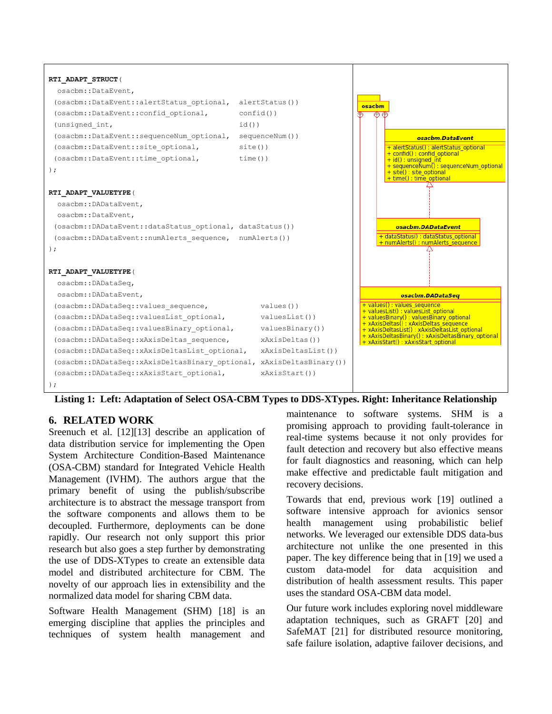

**Listing 1: Left: Adaptation of Select OSA-CBM Types to DDS-XTypes. Right: Inheritance Relationship**

#### **6. RELATED WORK**

Sreenuch et al. [12][13] describe an application of data distribution service for implementing the Open System Architecture Condition-Based Maintenance (OSA-CBM) standard for Integrated Vehicle Health Management (IVHM). The authors argue that the primary benefit of using the publish/subscribe architecture is to abstract the message transport from the software components and allows them to be decoupled. Furthermore, deployments can be done rapidly. Our research not only support this prior research but also goes a step further by demonstrating the use of DDS-XTypes to create an extensible data model and distributed architecture for CBM. The novelty of our approach lies in extensibility and the normalized data model for sharing CBM data.

Software Health Management (SHM) [18] is an emerging discipline that applies the principles and techniques of system health management and

maintenance to software systems. SHM is a promising approach to providing fault-tolerance in real-time systems because it not only provides for fault detection and recovery but also effective means for fault diagnostics and reasoning, which can help make effective and predictable fault mitigation and recovery decisions.

Towards that end, previous work [19] outlined a software intensive approach for avionics sensor health management using probabilistic belief networks. We leveraged our extensible DDS data-bus architecture not unlike the one presented in this paper. The key difference being that in [19] we used a custom data-model for data acquisition and distribution of health assessment results. This paper uses the standard OSA-CBM data model.

Our future work includes exploring novel middleware adaptation techniques, such as GRAFT [20] and SafeMAT [21] for distributed resource monitoring, safe failure isolation, adaptive failover decisions, and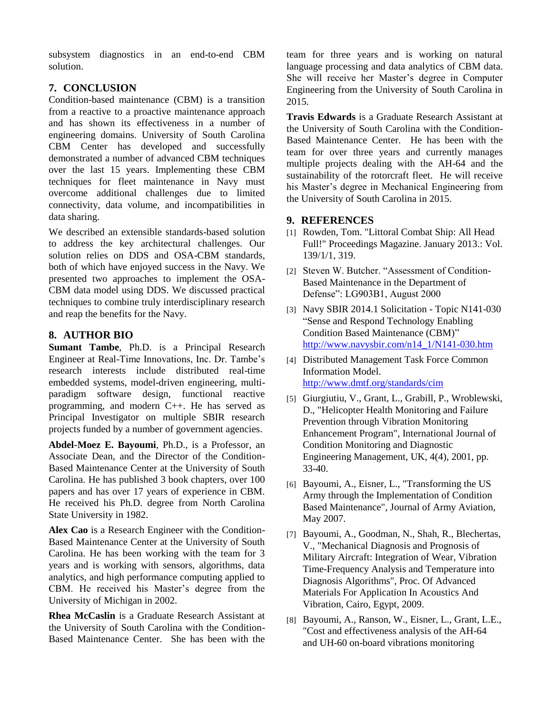subsystem diagnostics in an end-to-end CBM solution.

# **7. CONCLUSION**

Condition-based maintenance (CBM) is a transition from a reactive to a proactive maintenance approach and has shown its effectiveness in a number of engineering domains. University of South Carolina CBM Center has developed and successfully demonstrated a number of advanced CBM techniques over the last 15 years. Implementing these CBM techniques for fleet maintenance in Navy must overcome additional challenges due to limited connectivity, data volume, and incompatibilities in data sharing.

We described an extensible standards-based solution to address the key architectural challenges. Our solution relies on DDS and OSA-CBM standards, both of which have enjoyed success in the Navy. We presented two approaches to implement the OSA-CBM data model using DDS. We discussed practical techniques to combine truly interdisciplinary research and reap the benefits for the Navy.

## **8. AUTHOR BIO**

**Sumant Tambe**, Ph.D. is a Principal Research Engineer at Real-Time Innovations, Inc. Dr. Tambe's research interests include distributed real-time embedded systems, model-driven engineering, multiparadigm software design, functional reactive programming, and modern C++. He has served as Principal Investigator on multiple SBIR research projects funded by a number of government agencies.

**Abdel-Moez E. Bayoumi**, Ph.D., is a Professor, an Associate Dean, and the Director of the Condition-Based Maintenance Center at the University of South Carolina. He has published 3 book chapters, over 100 papers and has over 17 years of experience in CBM. He received his Ph.D. degree from North Carolina State University in 1982.

**Alex Cao** is a Research Engineer with the Condition-Based Maintenance Center at the University of South Carolina. He has been working with the team for 3 years and is working with sensors, algorithms, data analytics, and high performance computing applied to CBM. He received his Master's degree from the University of Michigan in 2002.

**Rhea McCaslin** is a Graduate Research Assistant at the University of South Carolina with the Condition-Based Maintenance Center. She has been with the

team for three years and is working on natural language processing and data analytics of CBM data. She will receive her Master's degree in Computer Engineering from the University of South Carolina in 2015.

**Travis Edwards** is a Graduate Research Assistant at the University of South Carolina with the Condition-Based Maintenance Center. He has been with the team for over three years and currently manages multiple projects dealing with the AH-64 and the sustainability of the rotorcraft fleet. He will receive his Master's degree in Mechanical Engineering from the University of South Carolina in 2015.

## **9. REFERENCES**

- [1] Rowden, Tom. "Littoral Combat Ship: All Head Full!" Proceedings Magazine. January 2013.: Vol. 139/1/1, 319.
- <span id="page-10-0"></span>[2] Steven W. Butcher. "Assessment of Condition-Based Maintenance in the Department of Defense": LG903B1, August 2000
- <span id="page-10-1"></span>[3] Navy SBIR 2014.1 Solicitation - Topic N141-030 "Sense and Respond Technology Enabling Condition Based Maintenance (CBM)" [http://www.navysbir.com/n14\\_1/N141-030.htm](http://www.navysbir.com/n14_1/N141-030.htm)
- <span id="page-10-2"></span>[4] Distributed Management Task Force Common Information Model. <http://www.dmtf.org/standards/cim>
- <span id="page-10-3"></span>[5] Giurgiutiu, V., Grant, L., Grabill, P., Wroblewski, D., "Helicopter Health Monitoring and Failure Prevention through Vibration Monitoring Enhancement Program", International Journal of Condition Monitoring and Diagnostic Engineering Management, UK, 4(4), 2001, pp. 33-40.
- [6] Bayoumi, A., Eisner, L., "Transforming the US Army through the Implementation of Condition Based Maintenance", Journal of Army Aviation, May 2007.
- <span id="page-10-4"></span>[7] Bayoumi, A., Goodman, N., Shah, R., Blechertas, V., "Mechanical Diagnosis and Prognosis of Military Aircraft: Integration of Wear, Vibration Time-Frequency Analysis and Temperature into Diagnosis Algorithms", Proc. Of Advanced Materials For Application In Acoustics And Vibration, Cairo, Egypt, 2009.
- <span id="page-10-5"></span>[8] Bayoumi, A., Ranson, W., Eisner, L., Grant, L.E., "Cost and effectiveness analysis of the AH-64 and UH-60 on-board vibrations monitoring